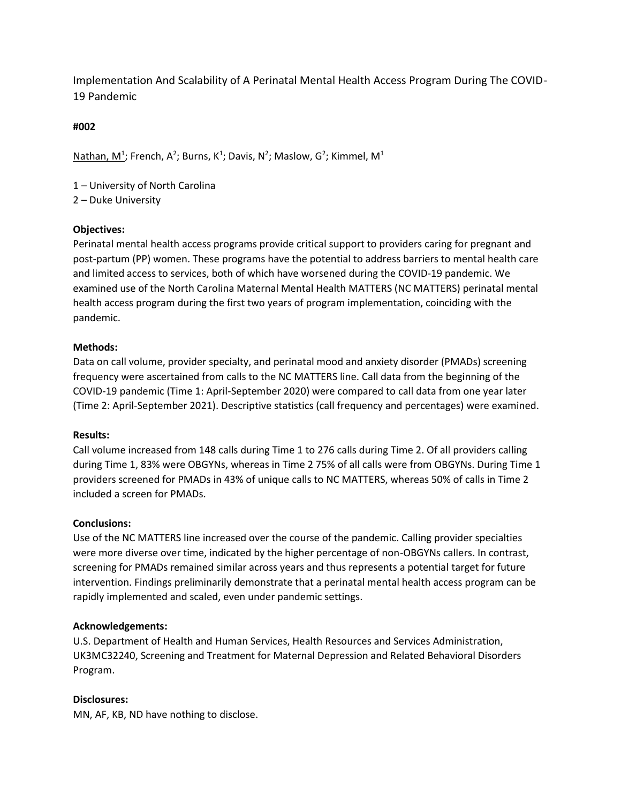Implementation And Scalability of A Perinatal Mental Health Access Program During The COVID- 19 Pandemic

# **#002**

Nathan, M<sup>1</sup>; French, A<sup>2</sup>; Burns, K<sup>1</sup>; Davis, N<sup>2</sup>; Maslow, G<sup>2</sup>; Kimmel, M<sup>1</sup>

1 – University of North Carolina

2 – Duke University

## **Objectives:**

Perinatal mental health access programs provide critical support to providers caring for pregnant and post-partum (PP) women. These programs have the potential to address barriers to mental health care and limited access to services, both of which have worsened during the COVID-19 pandemic. We examined use of the North Carolina Maternal Mental Health MATTERS (NC MATTERS) perinatal mental health access program during the first two years of program implementation, coinciding with the pandemic.

## **Methods:**

Data on call volume, provider specialty, and perinatal mood and anxiety disorder (PMADs) screening frequency were ascertained from calls to the NC MATTERS line. Call data from the beginning of the COVID-19 pandemic (Time 1: April-September 2020) were compared to call data from one year later (Time 2: April-September 2021). Descriptive statistics (call frequency and percentages) were examined.

## **Results:**

Call volume increased from 148 calls during Time 1 to 276 calls during Time 2. Of all providers calling during Time 1, 83% were OBGYNs, whereas in Time 2 75% of all calls were from OBGYNs. During Time 1 providers screened for PMADs in 43% of unique calls to NC MATTERS, whereas 50% of calls in Time 2 included a screen for PMADs.

## **Conclusions:**

Use of the NC MATTERS line increased over the course of the pandemic. Calling provider specialties were more diverse over time, indicated by the higher percentage of non-OBGYNs callers. In contrast, screening for PMADs remained similar across years and thus represents a potential target for future intervention. Findings preliminarily demonstrate that a perinatal mental health access program can be rapidly implemented and scaled, even under pandemic settings.

## **Acknowledgements:**

U.S. Department of Health and Human Services, Health Resources and Services Administration, UK3MC32240, Screening and Treatment for Maternal Depression and Related Behavioral Disorders Program.

## **Disclosures:**

MN, AF, KB, ND have nothing to disclose.